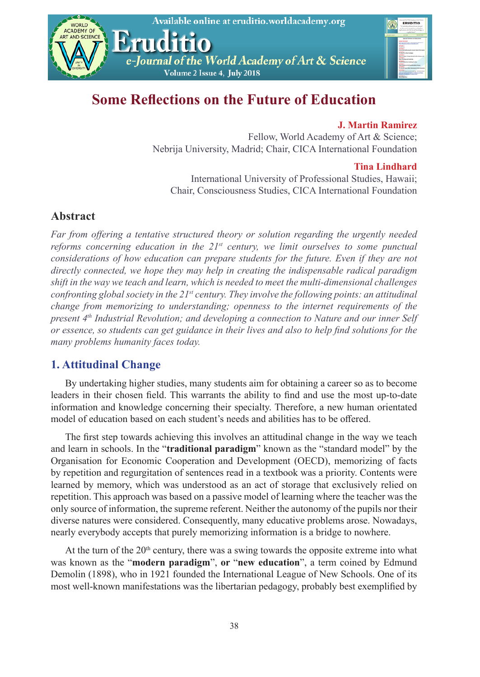

| Darred of the World Australia of the<br>of firmer<br><b>ERUDITIO</b><br>sherphus<br>wa fiscand<br>Leasewick<br>and autors.<br>of all lives of 5<br>a global basis |
|-------------------------------------------------------------------------------------------------------------------------------------------------------------------|
|                                                                                                                                                                   |
| <b>Analisi Kalimas on Kalumation</b>                                                                                                                              |
| <b>STATISTICS</b><br>harmonica e fue concelerados.<br>Nos financieras fueros hometerados                                                                          |
|                                                                                                                                                                   |
|                                                                                                                                                                   |
| <b>Booths when headques</b>                                                                                                                                       |
| <b>ALCOHOL:</b>                                                                                                                                                   |
|                                                                                                                                                                   |
|                                                                                                                                                                   |
| in the foundationalise in                                                                                                                                         |
|                                                                                                                                                                   |
| or Packer<br><b><i><u>Indiana</u></i></b>                                                                                                                         |
| <b>Ager provided at Action can College</b>                                                                                                                        |

# **Some Reflections on the Future of Education**

### **J. Martin Ramirez**

Fellow, World Academy of Art & Science; Nebrija University, Madrid; Chair, CICA International Foundation

#### **Tina Lindhard**

International University of Professional Studies, Hawaii; Chair, Consciousness Studies, CICA International Foundation

### **Abstract**

*Far from offering a tentative structured theory or solution regarding the urgently needed reforms concerning education in the*  $21<sup>st</sup>$  *century, we limit ourselves to some punctual considerations of how education can prepare students for the future. Even if they are not directly connected, we hope they may help in creating the indispensable radical paradigm shift in the way we teach and learn, which is needed to meet the multi-dimensional challenges confronting global society in the 21<sup>st</sup> century. They involve the following points: an attitudinal change from memorizing to understanding; openness to the internet requirements of the present 4th Industrial Revolution; and developing a connection to Nature and our inner Self or essence, so students can get guidance in their lives and also to help find solutions for the many problems humanity faces today.* 

## **1. Attitudinal Change**

By undertaking higher studies, many students aim for obtaining a career so as to become leaders in their chosen field. This warrants the ability to find and use the most up-to-date information and knowledge concerning their specialty. Therefore, a new human orientated model of education based on each student's needs and abilities has to be offered.

The first step towards achieving this involves an attitudinal change in the way we teach and learn in schools. In the "**traditional paradigm**" known as the "standard model" by the Organisation for Economic Cooperation and Development (OECD), memorizing of facts by repetition and regurgitation of sentences read in a textbook was a priority. Contents were learned by memory, which was understood as an act of storage that exclusively relied on repetition. This approach was based on a passive model of learning where the teacher was the only source of information, the supreme referent. Neither the autonomy of the pupils nor their diverse natures were considered. Consequently, many educative problems arose. Nowadays, nearly everybody accepts that purely memorizing information is a bridge to nowhere.

At the turn of the  $20<sup>th</sup>$  century, there was a swing towards the opposite extreme into what was known as the "**modern paradigm**", **or** "**new education**", a term coined by Edmund Demolin (1898), who in 1921 founded the International League of New Schools. One of its most well-known manifestations was the libertarian pedagogy, probably best exemplified by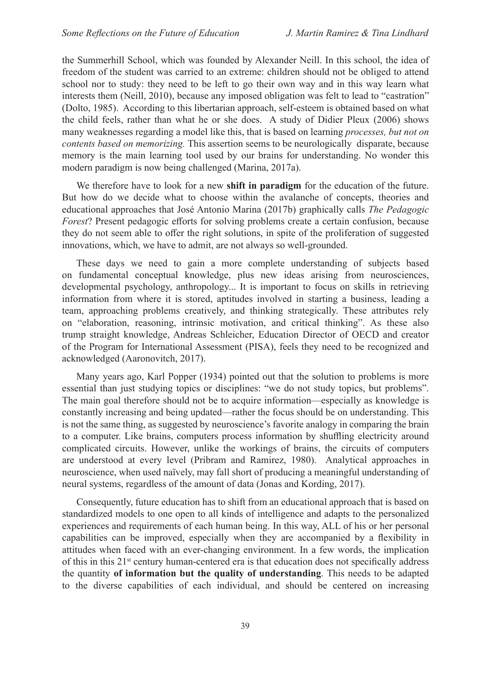the Summerhill School, which was founded by Alexander Neill. In this school, the idea of freedom of the student was carried to an extreme: children should not be obliged to attend school nor to study: they need to be left to go their own way and in this way learn what interests them (Neill, 2010), because any imposed obligation was felt to lead to "castration" (Dolto, 1985). According to this libertarian approach, self-esteem is obtained based on what the child feels, rather than what he or she does. A study of Didier Pleux (2006) shows many weaknesses regarding a model like this, that is based on learning *processes, but not on contents based on memorizing.* This assertion seems to be neurologically disparate, because memory is the main learning tool used by our brains for understanding. No wonder this modern paradigm is now being challenged (Marina, 2017a).

We therefore have to look for a new **shift in paradigm** for the education of the future. But how do we decide what to choose within the avalanche of concepts, theories and educational approaches that José Antonio Marina (2017b) graphically calls *The Pedagogic Forest*? Present pedagogic efforts for solving problems create a certain confusion, because they do not seem able to offer the right solutions, in spite of the proliferation of suggested innovations, which, we have to admit, are not always so well-grounded.

These days we need to gain a more complete understanding of subjects based on fundamental conceptual knowledge, plus new ideas arising from neurosciences, developmental psychology, anthropology... It is important to focus on skills in retrieving information from where it is stored, aptitudes involved in starting a business, leading a team, approaching problems creatively, and thinking strategically. These attributes rely on "elaboration, reasoning, intrinsic motivation, and critical thinking". As these also trump straight knowledge, Andreas Schleicher, Education Director of OECD and creator of the Program for International Assessment (PISA), feels they need to be recognized and acknowledged (Aaronovitch, 2017).

Many years ago, Karl Popper (1934) pointed out that the solution to problems is more essential than just studying topics or disciplines: "we do not study topics, but problems". The main goal therefore should not be to acquire information—especially as knowledge is constantly increasing and being updated—rather the focus should be on understanding. This is not the same thing, as suggested by neuroscience's favorite analogy in comparing the brain to a computer. Like brains, computers process information by shuffling electricity around complicated circuits. However, unlike the workings of brains, the circuits of computers are understood at every level (Pribram and Ramirez, 1980). Analytical approaches in neuroscience, when used naïvely, may fall short of producing a meaningful understanding of neural systems, regardless of the amount of data (Jonas and Kording, 2017).

Consequently, future education has to shift from an educational approach that is based on standardized models to one open to all kinds of intelligence and adapts to the personalized experiences and requirements of each human being. In this way, ALL of his or her personal capabilities can be improved, especially when they are accompanied by a flexibility in attitudes when faced with an ever-changing environment. In a few words, the implication of this in this  $21^{st}$  century human-centered era is that education does not specifically address the quantity **of information but the quality of understanding**. This needs to be adapted to the diverse capabilities of each individual, and should be centered on increasing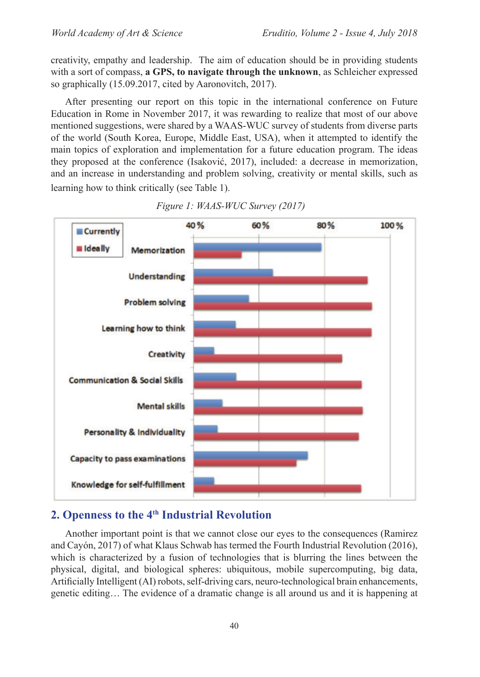creativity, empathy and leadership. The aim of education should be in providing students with a sort of compass, **a GPS, to navigate through the unknown**, as Schleicher expressed so graphically (15.09.2017, cited by Aaronovitch, 2017).

After presenting our report on this topic in the international conference on Future Education in Rome in November 2017, it was rewarding to realize that most of our above mentioned suggestions, were shared by a WAAS-WUC survey of students from diverse parts of the world (South Korea, Europe, Middle East, USA), when it attempted to identify the main topics of exploration and implementation for a future education program. The ideas they proposed at the conference (Isaković, 2017), included: a decrease in memorization, and an increase in understanding and problem solving, creativity or mental skills, such as learning how to think critically (see Table 1).



*Figure 1: WAAS-WUC Survey (2017)*

## **2. Openness to the 4th Industrial Revolution**

Another important point is that we cannot close our eyes to the consequences (Ramirez and Cayón, 2017) of what Klaus Schwab has termed the Fourth Industrial Revolution (2016), which is characterized by a fusion of technologies that is blurring the lines between the physical, digital, and biological spheres: ubiquitous, mobile supercomputing, big data, Artificially Intelligent (AI) robots, self-driving cars, neuro-technological brain enhancements, genetic editing… The evidence of a dramatic change is all around us and it is happening at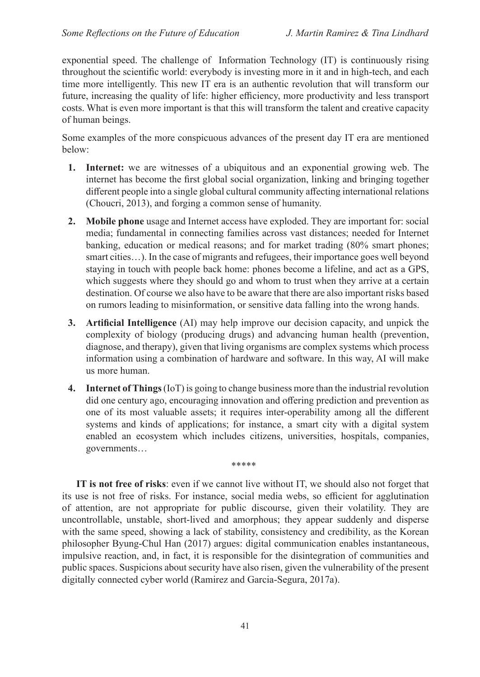exponential speed. The challenge of Information Technology (IT) is continuously rising throughout the scientific world: everybody is investing more in it and in high-tech, and each time more intelligently. This new IT era is an authentic revolution that will transform our future, increasing the quality of life: higher efficiency, more productivity and less transport costs. What is even more important is that this will transform the talent and creative capacity of human beings.

Some examples of the more conspicuous advances of the present day IT era are mentioned below:

- **1. Internet:** we are witnesses of a ubiquitous and an exponential growing web. The internet has become the first global social organization, linking and bringing together different people into a single global cultural community affecting international relations (Choucri, 2013), and forging a common sense of humanity.
- **2. Mobile phone** usage and Internet access have exploded. They are important for: social media; fundamental in connecting families across vast distances; needed for Internet banking, education or medical reasons; and for market trading (80% smart phones; smart cities...). In the case of migrants and refugees, their importance goes well beyond staying in touch with people back home: phones become a lifeline, and act as a GPS, which suggests where they should go and whom to trust when they arrive at a certain destination. Of course we also have to be aware that there are also important risks based on rumors leading to misinformation, or sensitive data falling into the wrong hands.
- **3. Artificial Intelligence** (AI) may help improve our decision capacity, and unpick the complexity of biology (producing drugs) and advancing human health (prevention, diagnose, and therapy), given that living organisms are complex systems which process information using a combination of hardware and software. In this way, AI will make us more human.
- **4. Internet of Things** (IoT) is going to change business more than the industrial revolution did one century ago, encouraging innovation and offering prediction and prevention as one of its most valuable assets; it requires inter-operability among all the different systems and kinds of applications; for instance, a smart city with a digital system enabled an ecosystem which includes citizens, universities, hospitals, companies, governments…

\*\*\*\*\*

**IT is not free of risks**: even if we cannot live without IT, we should also not forget that its use is not free of risks. For instance, social media webs, so efficient for agglutination of attention, are not appropriate for public discourse, given their volatility. They are uncontrollable, unstable, short-lived and amorphous; they appear suddenly and disperse with the same speed, showing a lack of stability, consistency and credibility, as the Korean philosopher Byung-Chul Han (2017) argues: digital communication enables instantaneous, impulsive reaction, and, in fact, it is responsible for the disintegration of communities and public spaces. Suspicions about security have also risen, given the vulnerability of the present digitally connected cyber world (Ramirez and Garcia-Segura, 2017a).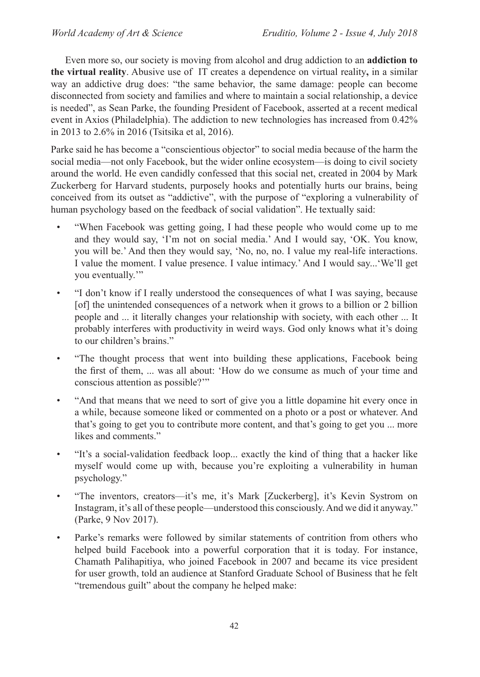Even more so, our society is moving from alcohol and drug addiction to an **addiction to the virtual reality**. Abusive use of IT creates a dependence on virtual reality**,** in a similar way an addictive drug does: "the same behavior, the same damage: people can become disconnected from society and families and where to maintain a social relationship, a device is needed", as Sean Parke, the founding President of Facebook, asserted at a recent medical event in Axios (Philadelphia). The addiction to new technologies has increased from 0.42% in 2013 to 2.6% in 2016 (Tsitsika et al, 2016).

Parke said he has become a "conscientious objector" to social media because of the harm the social media—not only Facebook, but the wider online ecosystem—is doing to civil society around the world. He even candidly confessed that this social net, created in 2004 by Mark Zuckerberg for Harvard students, purposely hooks and potentially hurts our brains, being conceived from its outset as "addictive", with the purpose of "exploring a vulnerability of human psychology based on the feedback of social validation". He textually said:

- "When Facebook was getting going, I had these people who would come up to me and they would say, 'I'm not on social media.' And I would say, 'OK. You know, you will be.' And then they would say, 'No, no, no. I value my real-life interactions. I value the moment. I value presence. I value intimacy.' And I would say...'We'll get you eventually."
- "I don't know if I really understood the consequences of what I was saying, because [of] the unintended consequences of a network when it grows to a billion or 2 billion people and ... it literally changes your relationship with society, with each other ... It probably interferes with productivity in weird ways. God only knows what it's doing to our children's brains."
- "The thought process that went into building these applications, Facebook being the first of them, ... was all about: 'How do we consume as much of your time and conscious attention as possible?'"
- "And that means that we need to sort of give you a little dopamine hit every once in a while, because someone liked or commented on a photo or a post or whatever. And that's going to get you to contribute more content, and that's going to get you ... more likes and comments."
- "It's a social-validation feedback loop... exactly the kind of thing that a hacker like myself would come up with, because you're exploiting a vulnerability in human psychology."
- "The inventors, creators—it's me, it's Mark [Zuckerberg], it's Kevin Systrom on Instagram, it's all of these people—understood this consciously. And we did it anyway." (Parke, 9 Nov 2017).
- Parke's remarks were followed by similar statements of contrition from others who helped build Facebook into a powerful corporation that it is today. For instance, Chamath Palihapitiya, who joined Facebook in 2007 and became its vice president for user growth, told an audience at Stanford Graduate School of Business that he felt "tremendous guilt" about the company he helped make: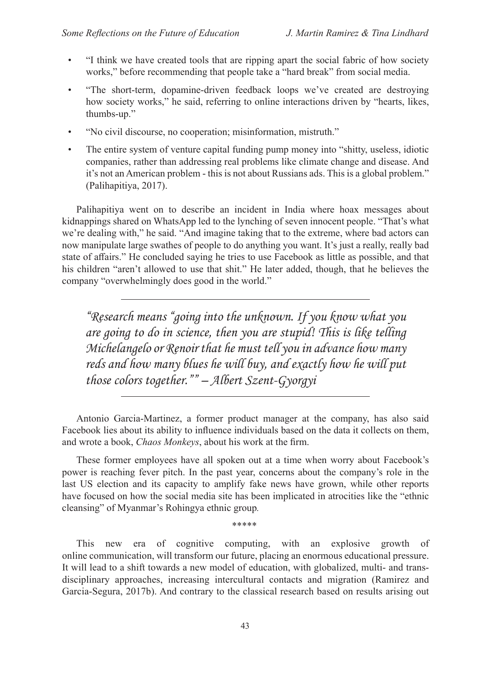- "I think we have created tools that are ripping apart the social fabric of how society works," before recommending that people take a "hard break" from social media.
- "The short-term, dopamine-driven feedback loops we've created are destroying how society works," he said, referring to online interactions driven by "hearts, likes, thumbs-up."
- "No civil discourse, no cooperation; misinformation, mistruth."
- The entire system of venture capital funding pump money into "shitty, useless, idiotic companies, rather than addressing real problems like climate change and disease. And it's not an American problem - this is not about Russians ads. This is a global problem." (Palihapitiya, 2017).

Palihapitiya went on to describe an incident in India where hoax messages about kidnappings shared on WhatsApp led to the lynching of seven innocent people. "That's what we're dealing with," he said. "And imagine taking that to the extreme, where bad actors can now manipulate large swathes of people to do anything you want. It's just a really, really bad state of affairs." He concluded saying he tries to use Facebook as little as possible, and that his children "aren't allowed to use that shit." He later added, though, that he believes the company "overwhelmingly does good in the world."

*"Research means "going into the unknown. If you know what you are going to do in science, then you are stupid! This is like telling Michelangelo or Renoir that he must tell you in advance how many*  reds and how many blues he will buy, and exactly how he will put *those colors together."" – Albert Szent-Gyorgyi*

Antonio Garcia-Martinez, a former product manager at the company, has also said Facebook lies about its ability to influence individuals based on the data it collects on them, and wrote a book, *Chaos Monkeys*, about his work at the firm.

These former employees have all spoken out at a time when worry about Facebook's power is reaching fever pitch. In the past year, concerns about the company's role in the last US election and its capacity to amplify fake news have grown, while other reports have focused on how the social media site has been implicated in atrocities like the "ethnic cleansing" of Myanmar's Rohingya ethnic group*.*

*\*\*\*\*\**

This new era of cognitive computing, with an explosive growth of online communication, will transform our future, placing an enormous educational pressure. It will lead to a shift towards a new model of education, with globalized, multi- and transdisciplinary approaches, increasing intercultural contacts and migration (Ramirez and Garcia-Segura, 2017b). And contrary to the classical research based on results arising out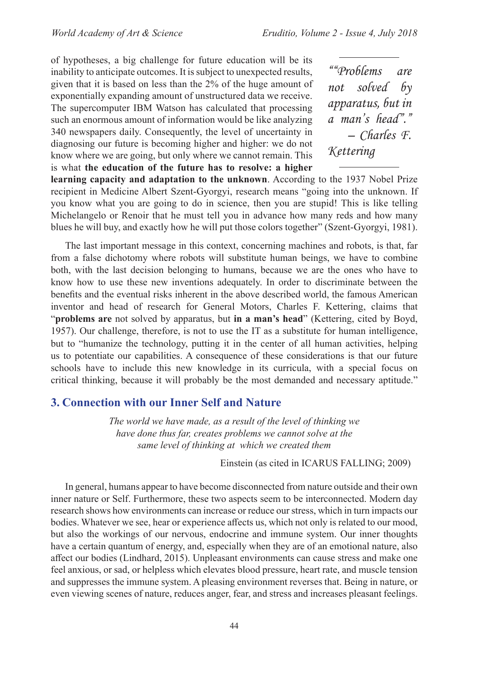of hypotheses, a big challenge for future education will be its inability to anticipate outcomes. It is subject to unexpected results, given that it is based on less than the 2% of the huge amount of exponentially expanding amount of unstructured data we receive. The supercomputer IBM Watson has calculated that processing such an enormous amount of information would be like analyzing 340 newspapers daily. Consequently, the level of uncertainty in diagnosing our future is becoming higher and higher: we do not know where we are going, but only where we cannot remain. This is what **the education of the future has to resolve: a higher** 

*""Problems are not solved by apparatus, but in a man's head"." – Charles F. Kettering*

**learning capacity and adaptation to the unknown**. According to the 1937 Nobel Prize recipient in Medicine Albert Szent-Gyorgyi, research means "going into the unknown. If you know what you are going to do in science, then you are stupid! This is like telling Michelangelo or Renoir that he must tell you in advance how many reds and how many blues he will buy, and exactly how he will put those colors together" (Szent-Gyorgyi, 1981).

The last important message in this context, concerning machines and robots, is that, far from a false dichotomy where robots will substitute human beings, we have to combine both, with the last decision belonging to humans, because we are the ones who have to know how to use these new inventions adequately. In order to discriminate between the benefits and the eventual risks inherent in the above described world, the famous American inventor and head of research for General Motors, Charles F. Kettering, claims that "**problems are** not solved by apparatus, but **in a man's head**" (Kettering, cited by Boyd, 1957). Our challenge, therefore, is not to use the IT as a substitute for human intelligence, but to "humanize the technology, putting it in the center of all human activities, helping us to potentiate our capabilities. A consequence of these considerations is that our future schools have to include this new knowledge in its curricula, with a special focus on critical thinking, because it will probably be the most demanded and necessary aptitude."

### **3. Connection with our Inner Self and Nature**

*The world we have made, as a result of the level of thinking we have done thus far, creates problems we cannot solve at the same level of thinking at which we created them* 

Einstein (as cited in ICARUS FALLING; 2009)

In general, humans appear to have become disconnected from nature outside and their own inner nature or Self. Furthermore, these two aspects seem to be interconnected. Modern day research shows how environments can increase or reduce our stress, which in turn impacts our bodies. Whatever we see, hear or experience affects us, which not only is related to our mood, but also the workings of our nervous, endocrine and immune system. Our inner thoughts have a certain quantum of energy, and, especially when they are of an emotional nature, also affect our bodies (Lindhard, 2015). Unpleasant environments can cause stress and make one feel anxious, or sad, or helpless which elevates blood pressure, heart rate, and muscle tension and suppresses the immune system. A pleasing environment reverses that. Being in nature, or even viewing scenes of nature, reduces anger, fear, and stress and increases pleasant feelings.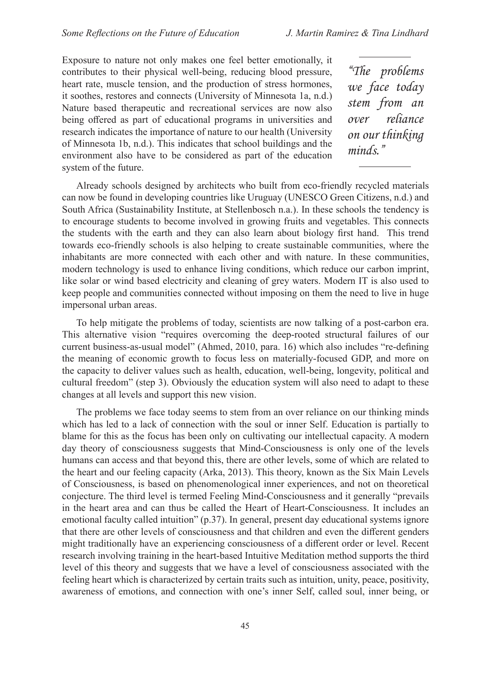Exposure to nature not only makes one feel better emotionally, it contributes to their physical well-being, reducing blood pressure, heart rate, muscle tension, and the production of stress hormones, it soothes, restores and connects (University of Minnesota 1a, n.d.) Nature based therapeutic and recreational services are now also being offered as part of educational programs in universities and research indicates the importance of nature to our health (University of Minnesota 1b, n.d.). This indicates that school buildings and the environment also have to be considered as part of the education system of the future.

*"The problems we face today stem from an over reliance on our thinking minds."* 

Already schools designed by architects who built from eco-friendly recycled materials can now be found in developing countries like Uruguay (UNESCO Green Citizens, n.d.) and South Africa (Sustainability Institute, at Stellenbosch n.a.). In these schools the tendency is to encourage students to become involved in growing fruits and vegetables. This connects the students with the earth and they can also learn about biology first hand. This trend towards eco-friendly schools is also helping to create sustainable communities, where the inhabitants are more connected with each other and with nature. In these communities, modern technology is used to enhance living conditions, which reduce our carbon imprint, like solar or wind based electricity and cleaning of grey waters. Modern IT is also used to keep people and communities connected without imposing on them the need to live in huge impersonal urban areas.

To help mitigate the problems of today, scientists are now talking of a post-carbon era. This alternative vision "requires overcoming the deep-rooted structural failures of our current business-as-usual model" (Ahmed, 2010, para. 16) which also includes "re-defining the meaning of economic growth to focus less on materially-focused GDP, and more on the capacity to deliver values such as health, education, well-being, longevity, political and cultural freedom" (step 3). Obviously the education system will also need to adapt to these changes at all levels and support this new vision.

The problems we face today seems to stem from an over reliance on our thinking minds which has led to a lack of connection with the soul or inner Self. Education is partially to blame for this as the focus has been only on cultivating our intellectual capacity. A modern day theory of consciousness suggests that Mind-Consciousness is only one of the levels humans can access and that beyond this, there are other levels, some of which are related to the heart and our feeling capacity (Arka, 2013). This theory, known as the Six Main Levels of Consciousness, is based on phenomenological inner experiences, and not on theoretical conjecture. The third level is termed Feeling Mind-Consciousness and it generally "prevails in the heart area and can thus be called the Heart of Heart-Consciousness. It includes an emotional faculty called intuition" (p.37). In general, present day educational systems ignore that there are other levels of consciousness and that children and even the different genders might traditionally have an experiencing consciousness of a different order or level. Recent research involving training in the heart-based Intuitive Meditation method supports the third level of this theory and suggests that we have a level of consciousness associated with the feeling heart which is characterized by certain traits such as intuition, unity, peace, positivity, awareness of emotions, and connection with one's inner Self, called soul, inner being, or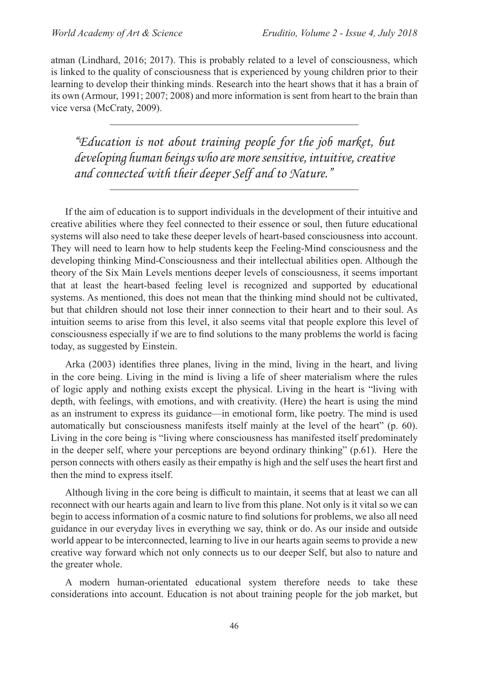atman (Lindhard, 2016; 2017). This is probably related to a level of consciousness, which is linked to the quality of consciousness that is experienced by young children prior to their learning to develop their thinking minds. Research into the heart shows that it has a brain of its own (Armour, 1991; 2007; 2008) and more information is sent from heart to the brain than vice versa (McCraty, 2009).

*"Education is not about training people for the job market, but developing human beings who are more sensitive, intuitive, creative and connected with their deeper Self and to Nature."*

If the aim of education is to support individuals in the development of their intuitive and creative abilities where they feel connected to their essence or soul, then future educational systems will also need to take these deeper levels of heart-based consciousness into account. They will need to learn how to help students keep the Feeling-Mind consciousness and the developing thinking Mind-Consciousness and their intellectual abilities open. Although the theory of the Six Main Levels mentions deeper levels of consciousness, it seems important that at least the heart-based feeling level is recognized and supported by educational systems. As mentioned, this does not mean that the thinking mind should not be cultivated, but that children should not lose their inner connection to their heart and to their soul. As intuition seems to arise from this level, it also seems vital that people explore this level of consciousness especially if we are to find solutions to the many problems the world is facing today, as suggested by Einstein.

Arka (2003) identifies three planes, living in the mind, living in the heart, and living in the core being. Living in the mind is living a life of sheer materialism where the rules of logic apply and nothing exists except the physical. Living in the heart is "living with depth, with feelings, with emotions, and with creativity. (Here) the heart is using the mind as an instrument to express its guidance—in emotional form, like poetry. The mind is used automatically but consciousness manifests itself mainly at the level of the heart" (p. 60). Living in the core being is "living where consciousness has manifested itself predominately in the deeper self, where your perceptions are beyond ordinary thinking" (p.61). Here the person connects with others easily as their empathy is high and the self uses the heart first and then the mind to express itself.

Although living in the core being is difficult to maintain, it seems that at least we can all reconnect with our hearts again and learn to live from this plane. Not only is it vital so we can begin to access information of a cosmic nature to find solutions for problems, we also all need guidance in our everyday lives in everything we say, think or do. As our inside and outside world appear to be interconnected, learning to live in our hearts again seems to provide a new creative way forward which not only connects us to our deeper Self, but also to nature and the greater whole.

A modern human-orientated educational system therefore needs to take these considerations into account. Education is not about training people for the job market, but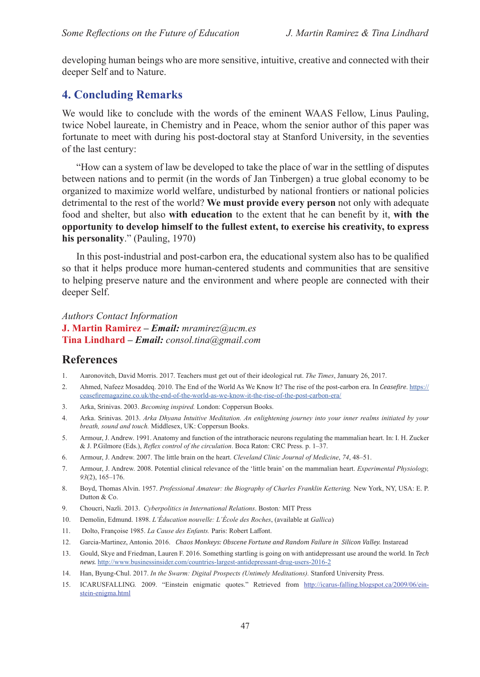developing human beings who are more sensitive, intuitive, creative and connected with their deeper Self and to Nature.

### **4. Concluding Remarks**

We would like to conclude with the words of the eminent WAAS Fellow, Linus Pauling, twice Nobel laureate, in Chemistry and in Peace, whom the senior author of this paper was fortunate to meet with during his post-doctoral stay at Stanford University, in the seventies of the last century:

"How can a system of law be developed to take the place of war in the settling of disputes between nations and to permit (in the words of Jan Tinbergen) a true global economy to be organized to maximize world welfare, undisturbed by national frontiers or national policies detrimental to the rest of the world? **We must provide every person** not only with adequate food and shelter, but also **with education** to the extent that he can benefit by it, **with the opportunity to develop himself to the fullest extent, to exercise his creativity, to express his personality**." (Pauling, 1970)

In this post-industrial and post-carbon era, the educational system also has to be qualified so that it helps produce more human-centered students and communities that are sensitive to helping preserve nature and the environment and where people are connected with their deeper Self.

*Authors Contact Information* **J. Martin Ramirez** *– Email: [mramirez@ucm.es](mailto:mramirez%40ucm.es?subject=)* **Tina Lindhard** *– Email: consol.tina@gmail.com*

#### **References**

- 1. Aaronovitch, David Morris. 2017. Teachers must get out of their ideological rut. *The Times*, January 26, 2017.
- 2. Ahmed, Nafeez Mosaddeq. 2010. The End of the World As We Know It? The rise of the post-carbon era. In *Ceasefire*. https:// ceasefiremagazine.co.uk/the-end-of-the-world-as-we-know-it-the-rise-of-the-post-carbon-era/
- 3. Arka, Srinivas. 2003. *Becoming inspired.* London: Coppersun Books.
- 4. Arka. Srinivas. 2013. *Arka Dhyana Intuitive Meditation. An enlightening journey into your inner realms initiated by your breath, sound and touch.* Middlesex, UK: Coppersun Books.
- 5. Armour, J. Andrew. 1991. Anatomy and function of the intrathoracic neurons regulating the mammalian heart. In: I. H. Zucker & J. P.Gilmore (Eds.), *Reflex control of the circulation*. Boca Raton: CRC Press. p. 1–37.
- 6. Armour, J. Andrew. 2007. The little brain on the heart. *Cleveland Clinic Journal of Medicine*, *74*, 48–51.
- 7. Armour, J. Andrew. 2008. Potential clinical relevance of the 'little brain' on the mammalian heart. *Experimental Physiology, 93*(2), 165–176.
- 8. Boyd, Thomas Alvin. 1957. *Professional Amateur: the Biography of Charles Franklin Kettering.* New York, NY, USA: E. P. Dutton & Co.
- 9. Choucri, Nazli. 2013. *Cyberpolitics in International Relations*. Boston*:* MIT Press
- 10. Demolin, Edmund. 1898. *L'Éducation nouvelle: L'École des Roches*, (available at *Gallica*)
- 11. Dolto, Françoise 1985. *La Cause des Enfants.* Paris: Robert Laffont.
- 12. Garcia-Martinez, Antonio*.* 2016. *Chaos Monkeys: Obscene Fortune and Random Failure in Silicon Valley.* Instaread
- 13. Gould, Skye and Friedman, Lauren F. 2016. Something startling is going on with antidepressant use around the world. In *Tech news.* http://www.businessinsider.com/countries-largest-antidepressant-drug-users-2016-2
- 14. [Han](http://elpais.com/tag), Byung-Chul. 2017. *In the Swarm: Digital Prospects (Untimely Meditations).* Stanford University Press.
- 15. ICARUSFALLING*.* 2009. "Einstein enigmatic quotes." Retrieved from [http://icarus-falling.blogspot.ca/2009/06/ein](http://icarus-falling.blogspot.ca/2009/06/einstein-enigma.html%22%20%5Ct%20%22_blank)[stein-enigma.html](http://icarus-falling.blogspot.ca/2009/06/einstein-enigma.html%22%20%5Ct%20%22_blank)